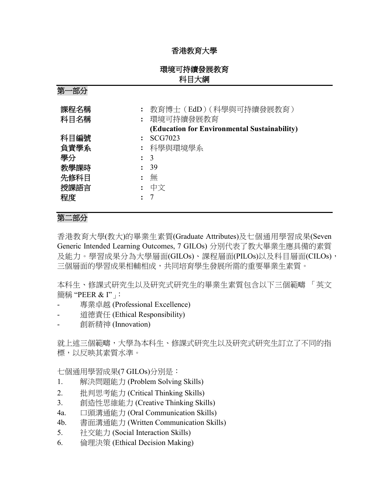# 香港教育大學

# 環境可持續發展教育 科目大綱

第一部分

| 課程名稱<br>科目名稱 | 教育博士 (EdD) (科學與可持續發展教育)<br>環境可持續發展教育<br>(Education for Environmental Sustainability) |
|--------------|--------------------------------------------------------------------------------------|
| 科目編號         | SCG7023                                                                              |
| 負責學系         | : 科學與環境學系                                                                            |
| 學分           | $\colon$ 3                                                                           |
| 教學課時         | 39                                                                                   |
| 先修科目         | 無                                                                                    |
| 授課語言         | 中文                                                                                   |
| 程度           |                                                                                      |

# 第二部分

香港教育大學(教大)的畢業生素質(Graduate Attributes)及七個通用學習成果(Seven Generic Intended Learning Outcomes, 7 GILOs) 分別代表了教大畢業生應具備的素質 及能力。學習成果分為大學層面(GILOs)、課程層面(PILOs)以及科目層面(CILOs), 三個層面的學習成果相輔相成,共同培育學生發展所需的重要畢業生素質。

本科生、修課式研究生以及研究式研究生的畢業生素質包含以下三個範疇 「英文 簡稱 "PEER & I"」:

- 專業卓越 (Professional Excellence)
- 道德責任 (Ethical Responsibility)
- 創新精神 (Innovation)

就上述三個範疇,大學為本科生、修課式研究生以及研究式研究生訂立了不同的指 標,以反映其素質水準。

七個通用學習成果(7 GILOs)分別是:

- 1. 解決問題能力 (Problem Solving Skills)
- 2. 批判思考能力 (Critical Thinking Skills)
- 3. 創造性思維能力 (Creative Thinking Skills)
- 4a. 口頭溝通能力 (Oral Communication Skills)
- 4b. 書面溝通能力 (Written Communication Skills)
- 5. 社交能力 (Social Interaction Skills)
- 6. 倫理決策 (Ethical Decision Making)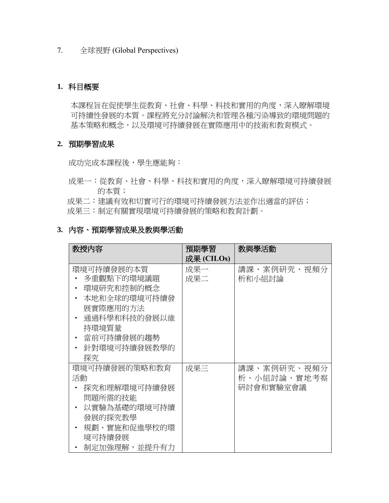7. 全球視野 (Global Perspectives)

### **1.** 科目概要

本課程旨在促使學生從教育、社會、科學、科技和實用的角度,深入瞭解環境 可持續性發展的本質。課程將充分討論解決和管理各種污染導致的環境問題的 基本策略和概念,以及環境可持續發展在實際應用中的技術和教育模式。

### **2.** 預期學習成果

成功完成本課程後,學生應能夠:

- 成果一:從教育、社會、科學、科技和實用的角度,深入瞭解環境可持續發展 的本質;
- 成果二:建議有效和切實可行的環境可持續發展方法並作出適當的評估;
- 成果三:制定有關實現環境可持續發展的策略和教育計劃。

# **3.** 內容、預期學習成果及教與學活動

| 教授內容                                                                                                                            | 教與學活動<br>預期學習 |                                         |
|---------------------------------------------------------------------------------------------------------------------------------|---------------|-----------------------------------------|
|                                                                                                                                 | 成果 (CILOs)    |                                         |
| 環境可持續發展的本質<br>多重觀點下的環境議題<br>環境研究和控制的概念<br>本地和全球的環境可持續發<br>展實際應用的方法<br>通過科學和科技的發展以維<br>持環境質量<br>當前可持續發展的趨勢<br>針對環境可持續發展教學的<br>探究 | 成果一<br>成果二    | 講課、案例研究、視頻分<br>析和小組討論                   |
| 環境可持續發展的策略和教育<br>活動<br>探究和理解環境可持續發展<br>問題所需的技能<br>以實驗為基礎的環境可持續<br>發展的探究教學<br>規劃、實施和促進學校的環<br>境可持續發展<br>制定加強理解,並提升有力             | 成果三           | 講課、案例研究、視頻分<br>析、小組討論、實地考察<br>研討會和實驗室會議 |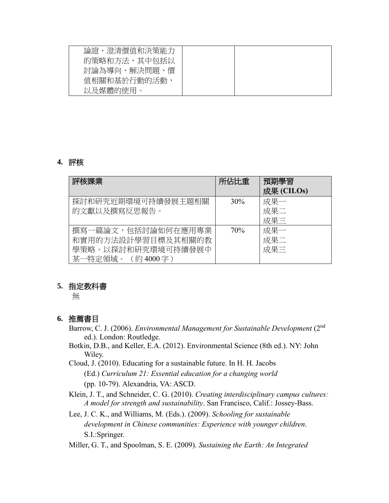| 論證、澄清價值和決策能力<br>的策略和方法,其中包括以 |  |
|------------------------------|--|
| 討論為導向、解決問題、價                 |  |
| 值相關和基於行動的活動                  |  |
| 以及媒體的使用。                     |  |

## **4.** 評核

| 評核課業                                                                                 | 所佔比重 | 預期學習<br>成果 (CILOs) |
|--------------------------------------------------------------------------------------|------|--------------------|
| 探討和研究近期環境可持續發展主題相關<br>的文獻以及撰寫反思報告。                                                   | 30%  | 成果一<br>成果二<br>成果三  |
| 撰寫一篇論文,包括討論如何在應用專業<br>和實用的方法設計學習目標及其相關的教<br>學策略。以探討和研究環境可持續發展中<br>某一特定領域。(約 4000 字 ) | 70%  | 成果一<br>成果二<br>成果三  |

## **5.** 指定教科書

無

## **6.** 推薦書目

- Barrow, C. J. (2006). *Environmental Management for Sustainable Development* (2nd ed.). London: Routledge.
- Botkin, D.B., and Keller, E.A. (2012). Environmental Science (8th ed.). NY: John Wiley.
- Cloud, J. (2010). Educating for a sustainable future. In H. H. Jacobs (Ed.) *Curriculum 21: Essential education for a changing world*  (pp. 10-79). Alexandria, VA: ASCD.
- Klein, J. T., and Schneider, C. G. (2010). *Creating interdisciplinary campus cultures: A model for strength and sustainability*. San Francisco, Calif.: Jossey-Bass.
- Lee, J. C. K., and Williams, M. (Eds.). (2009). *Schooling for sustainable development in Chinese communities: Experience with younger children*. S.I.:Springer.
- Miller, G. T., and Spoolman, S. E. (2009). *Sustaining the Earth: An Integrated*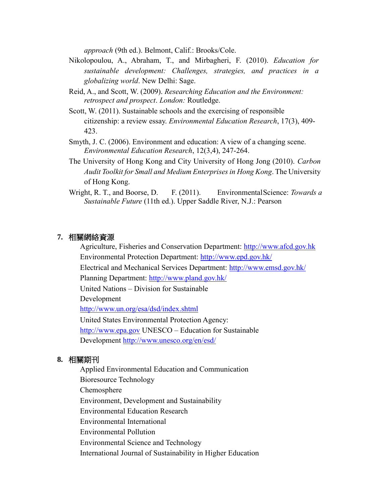*approach* (9th ed.). Belmont, Calif.: Brooks/Cole.

- Nikolopoulou, A., Abraham, T., and Mirbagheri, F. (2010). *Education for sustainable development: Challenges, strategies, and practices in a globalizing world*. New Delhi: Sage.
- [Reid, A., a](http://www.bath.ac.uk/view/person_id/704.html)nd [Scott, W. \(](http://www.bath.ac.uk/view/person_id/93.html)2009). *[Researching Education and the Environment:](http://opus.bath.ac.uk/10354/) [retrospect and prospect](http://opus.bath.ac.uk/10354/)*. *London:* Routledge.
- [Scott, W. \(](http://www.bath.ac.uk/view/person_id/93.html)2011). [Sustainable schools and the exercising of responsible](http://opus.bath.ac.uk/21252/)  [citizenship: a](http://opus.bath.ac.uk/21252/) [review essay.](http://opus.bath.ac.uk/21252/) *Environmental Education Research*, 17(3), 409- 423.
- Smyth, J. C. (2006). Environment and education: A view of a changing scene. *Environmental Education Research*, 12(3,4), 247-264.
- The University of Hong Kong and City University of Hong Jong (2010). *Carbon Audit Toolkit for Small and Medium Enterprises in Hong Kong*. The University of Hong Kong.
- Wright, R. T., and Boorse, D. F. (2011). EnvironmentalScience: *Towards a Sustainable Future* (11th ed.). Upper Saddle River, N.J.: Pearson

#### **7.** 相關網絡資源

Agriculture, Fisheries and Conservation Department: [http://www.afcd.gov.hk](http://www.afcd.gov.hk/) Environmental Protection Department:<http://www.epd.gov.hk/>

Electrical and Mechanical Services Department:<http://www.emsd.gov.hk/>

Planning Department:<http://www.pland.gov.hk/>

United Nations – Division for Sustainable

Development

<http://www.un.org/esa/dsd/index.shtml>

United States Environmental Protection Agency: [http://www.epa.gov](http://www.epa.gov/) UNESCO – Education for Sustainable Development<http://www.unesco.org/en/esd/>

### **8.** 相關期刊

Applied Environmental Education and Communication Bioresource Technology Chemosphere Environment, Development and Sustainability Environmental Education Research Environmental International Environmental Pollution Environmental Science and Technology International Journal of Sustainability in Higher Education